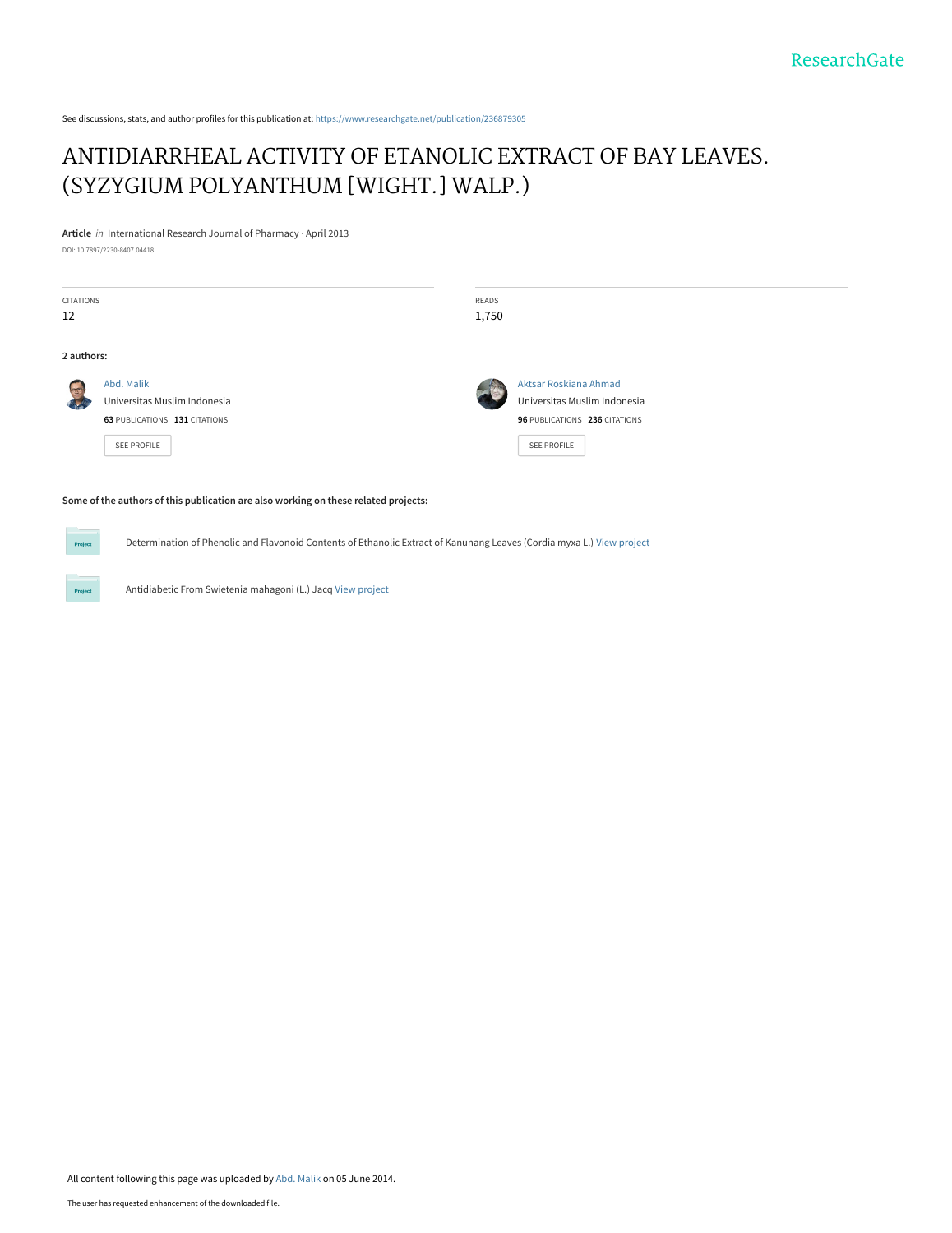See discussions, stats, and author profiles for this publication at: [https://www.researchgate.net/publication/236879305](https://www.researchgate.net/publication/236879305_ANTIDIARRHEAL_ACTIVITY_OF_ETANOLIC_EXTRACT_OF_BAY_LEAVES_SYZYGIUM_POLYANTHUM_WIGHT_WALP?enrichId=rgreq-b9deafaa00922b15279fa9b41898204b-XXX&enrichSource=Y292ZXJQYWdlOzIzNjg3OTMwNTtBUzoxMDQ2MjI3MTg5ODAxMDhAMTQwMTk1NTQwODY2Ng%3D%3D&el=1_x_2&_esc=publicationCoverPdf)

# [ANTIDIARRHEAL ACTIVITY OF ETANOLIC EXTRACT OF BAY LEAVES.](https://www.researchgate.net/publication/236879305_ANTIDIARRHEAL_ACTIVITY_OF_ETANOLIC_EXTRACT_OF_BAY_LEAVES_SYZYGIUM_POLYANTHUM_WIGHT_WALP?enrichId=rgreq-b9deafaa00922b15279fa9b41898204b-XXX&enrichSource=Y292ZXJQYWdlOzIzNjg3OTMwNTtBUzoxMDQ2MjI3MTg5ODAxMDhAMTQwMTk1NTQwODY2Ng%3D%3D&el=1_x_3&_esc=publicationCoverPdf) (SYZYGIUM POLYANTHUM [WIGHT.] WALP.)

**Article** in International Research Journal of Pharmacy · April 2013

DOI: 10.7897/2230-8407.04418

Project

**Project** 

| CITATIONS<br>12                                                                     |                                                                                            | READS<br>1,750 |                                                                                                       |  |  |
|-------------------------------------------------------------------------------------|--------------------------------------------------------------------------------------------|----------------|-------------------------------------------------------------------------------------------------------|--|--|
| 2 authors:                                                                          |                                                                                            |                |                                                                                                       |  |  |
| <b>PTE</b>                                                                          | Abd. Malik<br>Universitas Muslim Indonesia<br>63 PUBLICATIONS 131 CITATIONS<br>SEE PROFILE |                | Aktsar Roskiana Ahmad<br>Universitas Muslim Indonesia<br>96 PUBLICATIONS 236 CITATIONS<br>SEE PROFILE |  |  |
| Some of the authors of this publication are also working on these related projects: |                                                                                            |                |                                                                                                       |  |  |

Determination of Phenolic and Flavonoid Contents of Ethanolic Extract of Kanunang Leaves (Cordia myxa L.) [View project](https://www.researchgate.net/project/Determination-of-Phenolic-and-Flavonoid-Contents-of-Ethanolic-Extract-of-Kanunang-Leaves-Cordia-myxa-L?enrichId=rgreq-b9deafaa00922b15279fa9b41898204b-XXX&enrichSource=Y292ZXJQYWdlOzIzNjg3OTMwNTtBUzoxMDQ2MjI3MTg5ODAxMDhAMTQwMTk1NTQwODY2Ng%3D%3D&el=1_x_9&_esc=publicationCoverPdf)

Antidiabetic From Swietenia mahagoni (L.) Jacq [View project](https://www.researchgate.net/project/Antidiabetic-From-Swietenia-mahagoni-L-Jacq?enrichId=rgreq-b9deafaa00922b15279fa9b41898204b-XXX&enrichSource=Y292ZXJQYWdlOzIzNjg3OTMwNTtBUzoxMDQ2MjI3MTg5ODAxMDhAMTQwMTk1NTQwODY2Ng%3D%3D&el=1_x_9&_esc=publicationCoverPdf)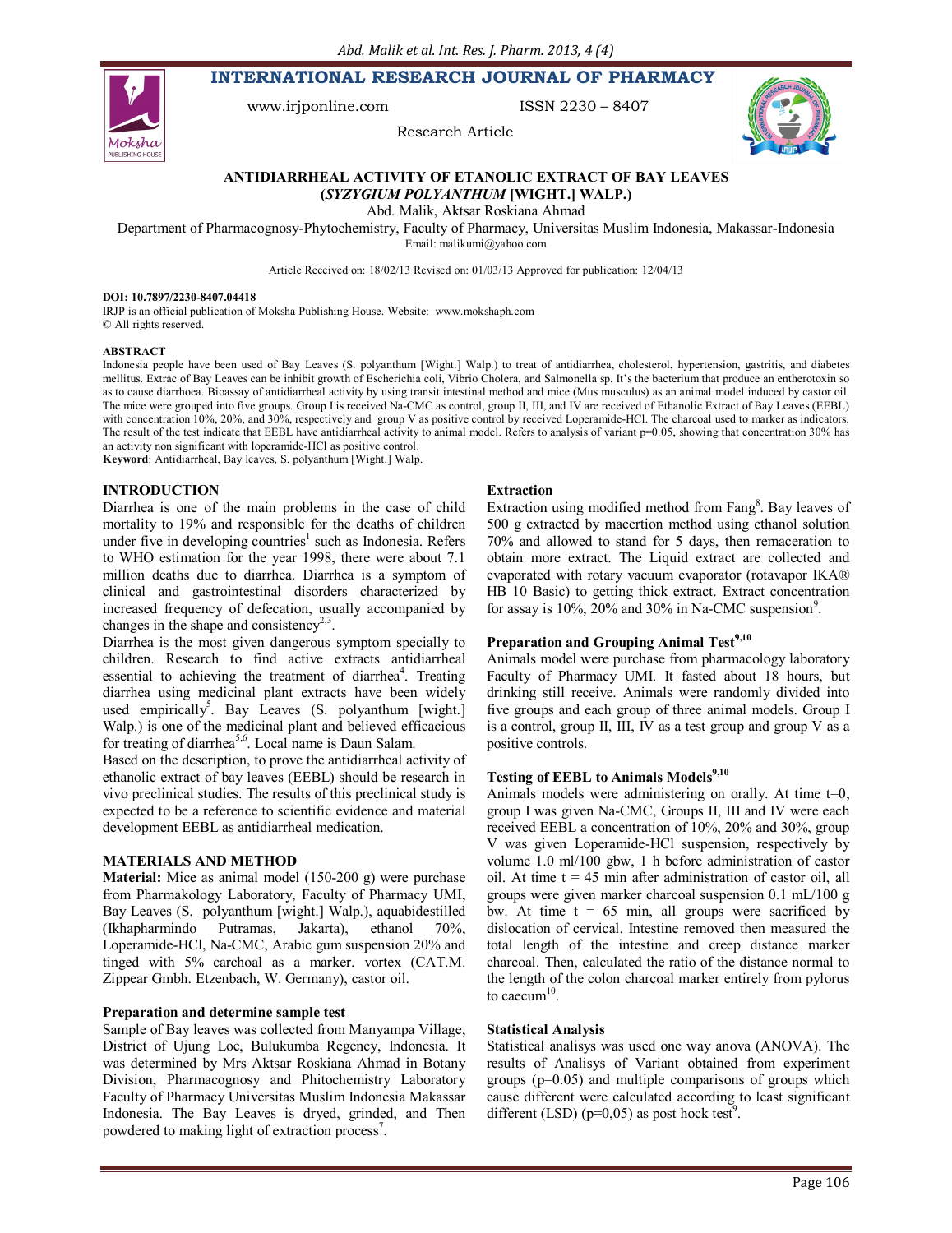**INTERNATIONAL RESEARCH JOURNAL OF PHARMACY**



www.irjponline.com ISSN 2230 - 8407



### Research Article

### **ANTIDIARRHEAL ACTIVITY OF ETANOLIC EXTRACT OF BAY LEAVES (***SYZYGIUM POLYANTHUM* **[WIGHT.] WALP.)**

Abd. Malik, Aktsar Roskiana Ahmad

Department of Pharmacognosy-Phytochemistry, Faculty of Pharmacy, Universitas Muslim Indonesia, Makassar-Indonesia Email: malikumi@yahoo.com

Article Received on: 18/02/13 Revised on: 01/03/13 Approved for publication: 12/04/13

#### **DOI: 10.7897/2230-8407.04418**

IRJP is an official publication of Moksha Publishing House. Website: www.mokshaph.com © All rights reserved.

### **ABSTRACT**

Indonesia people have been used of Bay Leaves (S. polyanthum [Wight.] Walp.) to treat of antidiarrhea, cholesterol, hypertension, gastritis, and diabetes mellitus. Extrac of Bay Leaves can be inhibit growth of Escherichia coli, Vibrio Cholera, and Salmonella sp. It's the bacterium that produce an entherotoxin so as to cause diarrhoea. Bioassay of antidiarrheal activity by using transit intestinal method and mice (Mus musculus) as an animal model induced by castor oil. The mice were grouped into five groups. Group I is received Na-CMC as control, group II, III, and IV are received of Ethanolic Extract of Bay Leaves (EEBL) with concentration 10%, 20%, and 30%, respectively and group V as positive control by received Loperamide-HCl. The charcoal used to marker as indicators. The result of the test indicate that EEBL have antidiarrheal activity to animal model. Refers to analysis of variant p=0.05, showing that concentration 30% has an activity non significant with loperamide-HCl as positive control.

**Keyword**: Antidiarrheal, Bay leaves, S. polyanthum [Wight.] Walp.

## **INTRODUCTION**

Diarrhea is one of the main problems in the case of child mortality to 19% and responsible for the deaths of children under five in developing countries<sup>1</sup> such as Indonesia. Refers to WHO estimation for the year 1998, there were about 7.1 million deaths due to diarrhea. Diarrhea is a symptom of clinical and gastrointestinal disorders characterized by increased frequency of defecation, usually accompanied by changes in the shape and consistency<sup>2,3</sup>.

Diarrhea is the most given dangerous symptom specially to children. Research to find active extracts antidiarrheal essential to achieving the treatment of diarrhea<sup>4</sup>. Treating diarrhea using medicinal plant extracts have been widely used empirically<sup>5</sup>. Bay Leaves  $(S.$  polyanthum [wight.] Walp.) is one of the medicinal plant and believed efficacious for treating of diarrhea<sup>5,6</sup>. Local name is Daun Salam.

Based on the description, to prove the antidiarrheal activity of ethanolic extract of bay leaves (EEBL) should be research in vivo preclinical studies. The results of this preclinical study is expected to be a reference to scientific evidence and material development EEBL as antidiarrheal medication.

# **MATERIALS AND METHOD**

**Material:** Mice as animal model (150-200 g) were purchase from Pharmakology Laboratory, Faculty of Pharmacy UMI, Bay Leaves (S. polyanthum [wight.] Walp.), aquabidestilled (Ikhapharmindo Putramas, Jakarta), ethanol 70%, Loperamide-HCl, Na-CMC, Arabic gum suspension 20% and tinged with 5% carchoal as a marker. vortex (CAT.M. Zippear Gmbh. Etzenbach, W. Germany), castor oil.

### **Preparation and determine sample test**

Sample of Bay leaves was collected from Manyampa Village, District of Ujung Loe, Bulukumba Regency, Indonesia. It was determined by Mrs Aktsar Roskiana Ahmad in Botany Division, Pharmacognosy and Phitochemistry Laboratory Faculty of Pharmacy Universitas Muslim Indonesia Makassar Indonesia. The Bay Leaves is dryed, grinded, and Then powdered to making light of extraction process<sup>7</sup>.

#### **Extraction**

Extraction using modified method from Fang<sup>8</sup>. Bay leaves of 500 g extracted by macertion method using ethanol solution 70% and allowed to stand for 5 days, then remaceration to obtain more extract. The Liquid extract are collected and evaporated with rotary vacuum evaporator (rotavapor IKA® HB 10 Basic) to getting thick extract. Extract concentration for assay is  $10\%$ ,  $20\%$  and  $30\%$  in Na-CMC suspension<sup>9</sup>.

# **Preparation and Grouping Animal Test9,10**

Animals model were purchase from pharmacology laboratory Faculty of Pharmacy UMI. It fasted about 18 hours, but drinking still receive. Animals were randomly divided into five groups and each group of three animal models. Group I is a control, group II, III, IV as a test group and group V as a positive controls.

# **Testing of EEBL to Animals Models9,10**

Animals models were administering on orally. At time t=0, group I was given Na-CMC, Groups II, III and IV were each received EEBL a concentration of 10%, 20% and 30%, group V was given Loperamide-HCl suspension, respectively by volume 1.0 ml/100 gbw, 1 h before administration of castor oil. At time  $t = 45$  min after administration of castor oil, all groups were given marker charcoal suspension 0.1 mL/100 g bw. At time  $t = 65$  min, all groups were sacrificed by dislocation of cervical. Intestine removed then measured the total length of the intestine and creep distance marker charcoal. Then, calculated the ratio of the distance normal to the length of the colon charcoal marker entirely from pylorus to caecum $10$ .

#### **Statistical Analysis**

Statistical analisys was used one way anova (ANOVA). The results of Analisys of Variant obtained from experiment groups (p=0.05) and multiple comparisons of groups which cause different were calculated according to least significant different (LSD) ( $p=0.05$ ) as post hock test<sup>9</sup>.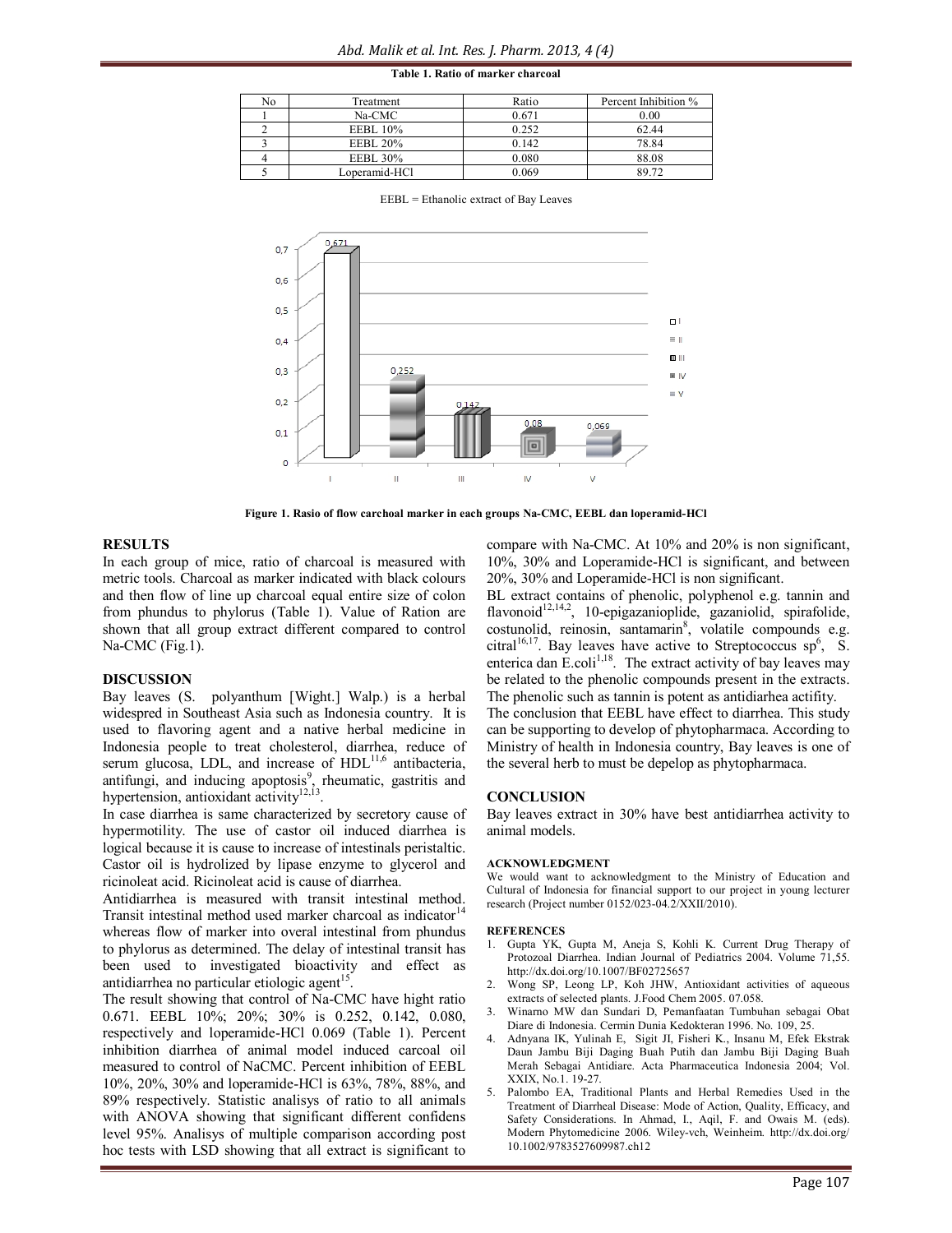| Table 1. Ratio of marker charcoal |  |  |  |  |
|-----------------------------------|--|--|--|--|
|-----------------------------------|--|--|--|--|

| No | Treatment       | Ratio | Percent Inhibition % |
|----|-----------------|-------|----------------------|
|    | Na-CMC          | 0.671 | 0.00                 |
|    | <b>EEBL</b> 10% | 0.252 | 62.44                |
|    | <b>EEBL 20%</b> | 0.142 | 78.84                |
|    | <b>EEBL 30%</b> | 0.080 | 88.08                |
|    | Loperamid-HCl   | 0.069 | 89.72                |

EEBL = Ethanolic extract of Bay Leaves



**Figure 1. Rasio of flow carchoal marker in each groups Na-CMC, EEBL dan loperamid-HCl**

### **RESULTS**

In each group of mice, ratio of charcoal is measured with metric tools. Charcoal as marker indicated with black colours and then flow of line up charcoal equal entire size of colon from phundus to phylorus (Table 1). Value of Ration are shown that all group extract different compared to control Na-CMC (Fig.1).

### **DISCUSSION**

Bay leaves (S. polyanthum [Wight.] Walp.) is a herbal widespred in Southeast Asia such as Indonesia country. It is used to flavoring agent and a native herbal medicine in Indonesia people to treat cholesterol, diarrhea, reduce of serum glucosa, LDL, and increase of HDL<sup>11,6</sup> antibacteria, antifungi, and inducing apoptosis<sup>9</sup>, rheumatic, gastritis and hypertension, antioxidant activity<sup>12,13</sup>.

In case diarrhea is same characterized by secretory cause of hypermotility. The use of castor oil induced diarrhea is logical because it is cause to increase of intestinals peristaltic. Castor oil is hydrolized by lipase enzyme to glycerol and ricinoleat acid. Ricinoleat acid is cause of diarrhea.

Antidiarrhea is measured with transit intestinal method. Transit intestinal method used marker charcoal as indicator $14$ whereas flow of marker into overal intestinal from phundus to phylorus as determined. The delay of intestinal transit has been used to investigated bioactivity and effect as antidiarrhea no particular etiologic agent<sup>15</sup>.

The result showing that control of Na-CMC have hight ratio 0.671. EEBL 10%; 20%; 30% is 0.252, 0.142, 0.080, respectively and loperamide-HCl 0.069 (Table 1). Percent inhibition diarrhea of animal model induced carcoal oil measured to control of NaCMC. Percent inhibition of EEBL 10%, 20%, 30% and loperamide-HCl is 63%, 78%, 88%, and 89% respectively. Statistic analisys of ratio to all animals with ANOVA showing that significant different confidens level 95%. Analisys of multiple comparison according post hoc tests with LSD showing that all extract is significant to

compare with Na-CMC. At 10% and 20% is non significant, 10%, 30% and Loperamide-HCl is significant, and between 20%, 30% and Loperamide-HCl is non significant.

BL extract contains of phenolic, polyphenol e.g. tannin and flavonoid<sup>12,14,2</sup>, 10-epigazanioplide, gazaniolid, spirafolide, costunolid, reinosin, santamarin<sup>8</sup>, volatile compounds e.g. citral<sup>16,17</sup>. Bay leaves have active to Streptococcus sp<sup>6</sup>, S. enterica dan  $\text{E}.\text{coli}^{1,18}$ . The extract activity of bay leaves may be related to the phenolic compounds present in the extracts. The phenolic such as tannin is potent as antidiarhea actifity. The conclusion that EEBL have effect to diarrhea. This study can be supporting to develop of phytopharmaca. According to Ministry of health in Indonesia country, Bay leaves is one of the several herb to must be depelop as phytopharmaca.

#### **CONCLUSION**

Bay leaves extract in 30% have best antidiarrhea activity to animal models.

#### **ACKNOWLEDGMENT**

We would want to acknowledgment to the Ministry of Education and Cultural of Indonesia for financial support to our project in young lecturer research (Project number 0152/023-04.2/XXII/2010).

#### **REFERENCES**

- 1. Gupta YK, Gupta M, Aneja S, Kohli K. Current Drug Therapy of Protozoal Diarrhea. Indian Journal of Pediatrics 2004. Volume 71,55. http://dx.doi.org/10.1007/BF02725657
- 2. Wong SP, Leong LP, Koh JHW, Antioxidant activities of aqueous extracts of selected plants. J.Food Chem 2005. 07.058.
- 3. Winarno MW dan Sundari D, Pemanfaatan Tumbuhan sebagai Obat Diare di Indonesia. Cermin Dunia Kedokteran 1996. No. 109, 25.
- 4. Adnyana IK, Yulinah E, Sigit JI, Fisheri K., Insanu M, Efek Ekstrak Daun Jambu Biji Daging Buah Putih dan Jambu Biji Daging Buah Merah Sebagai Antidiare. Acta Pharmaceutica Indonesia 2004; Vol. XXIX, No.1. 19-27.
- 5. Palombo EA, Traditional Plants and Herbal Remedies Used in the Treatment of Diarrheal Disease: Mode of Action, Quality, Efficacy, and Safety Considerations. In Ahmad, I., Aqil, F. and Owais M. (eds). Modern Phytomedicine 2006. Wiley-vch, Weinheim. http://dx.doi.org/ 10.1002/9783527609987.ch12